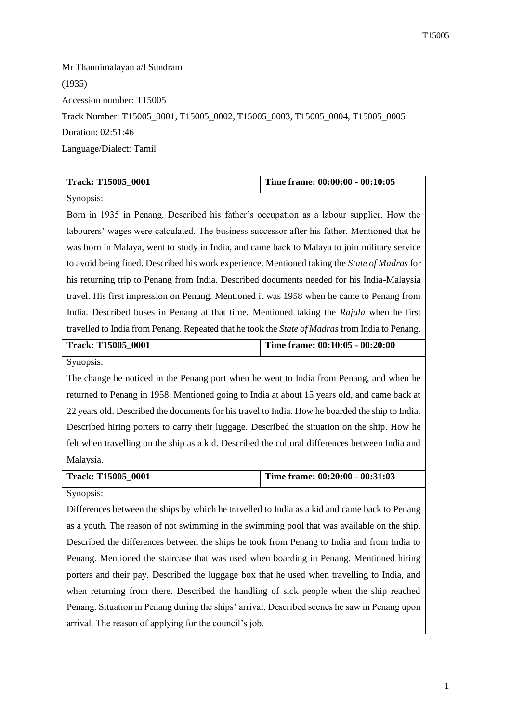Mr Thannimalayan a/l Sundram (1935) Accession number: T15005 Track Number: T15005\_0001, T15005\_0002, T15005\_0003, T15005\_0004, T15005\_0005 Duration: 02:51:46 Language/Dialect: Tamil

| <b>Track: T15005 0001</b> | Time frame: 00:00:00 - 00:10:05 |
|---------------------------|---------------------------------|

Synopsis:

Born in 1935 in Penang. Described his father's occupation as a labour supplier. How the labourers' wages were calculated. The business successor after his father. Mentioned that he was born in Malaya, went to study in India, and came back to Malaya to join military service to avoid being fined. Described his work experience. Mentioned taking the *State of Madras* for his returning trip to Penang from India. Described documents needed for his India-Malaysia travel. His first impression on Penang. Mentioned it was 1958 when he came to Penang from India. Described buses in Penang at that time. Mentioned taking the *Rajula* when he first travelled to India from Penang. Repeated that he took the *State of Madras* from India to Penang.

| <b>Track: T15005 0001</b> | Time frame: 00:10:05 - 00:20:00 |
|---------------------------|---------------------------------|
|                           |                                 |

Synopsis:

The change he noticed in the Penang port when he went to India from Penang, and when he returned to Penang in 1958. Mentioned going to India at about 15 years old, and came back at 22 years old. Described the documents for his travel to India. How he boarded the ship to India. Described hiring porters to carry their luggage. Described the situation on the ship. How he felt when travelling on the ship as a kid. Described the cultural differences between India and Malaysia.

| Time frame: $00:20:00 - 00:31:03$<br>Track: T15005 0001 |
|---------------------------------------------------------|
|---------------------------------------------------------|

Synopsis:

Differences between the ships by which he travelled to India as a kid and came back to Penang as a youth. The reason of not swimming in the swimming pool that was available on the ship. Described the differences between the ships he took from Penang to India and from India to Penang. Mentioned the staircase that was used when boarding in Penang. Mentioned hiring porters and their pay. Described the luggage box that he used when travelling to India, and when returning from there. Described the handling of sick people when the ship reached Penang. Situation in Penang during the ships' arrival. Described scenes he saw in Penang upon arrival. The reason of applying for the council's job.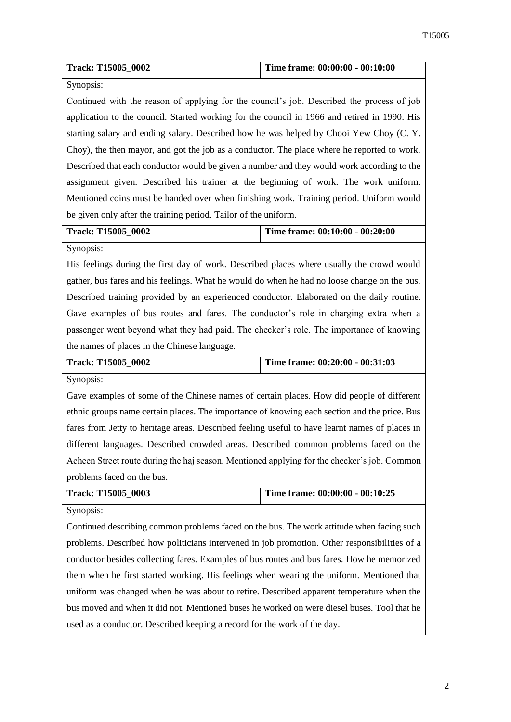| <b>Track: T15005 0002</b> | Time frame: $00:00:00 - 00:10:00$ |
|---------------------------|-----------------------------------|

#### Synopsis:

Continued with the reason of applying for the council's job. Described the process of job application to the council. Started working for the council in 1966 and retired in 1990. His starting salary and ending salary. Described how he was helped by Chooi Yew Choy (C. Y. Choy), the then mayor, and got the job as a conductor. The place where he reported to work. Described that each conductor would be given a number and they would work according to the assignment given. Described his trainer at the beginning of work. The work uniform. Mentioned coins must be handed over when finishing work. Training period. Uniform would be given only after the training period. Tailor of the uniform.

## **Track: T15005\_0002 Time frame: 00:10:00 - 00:20:00**

Synopsis:

His feelings during the first day of work. Described places where usually the crowd would gather, bus fares and his feelings. What he would do when he had no loose change on the bus. Described training provided by an experienced conductor. Elaborated on the daily routine. Gave examples of bus routes and fares. The conductor's role in charging extra when a passenger went beyond what they had paid. The checker's role. The importance of knowing the names of places in the Chinese language.

| <b>Track: T15005 0002</b> | Time frame: $00:20:00 - 00:31:03$ |
|---------------------------|-----------------------------------|
|                           |                                   |

Synopsis:

Gave examples of some of the Chinese names of certain places. How did people of different ethnic groups name certain places. The importance of knowing each section and the price. Bus fares from Jetty to heritage areas. Described feeling useful to have learnt names of places in different languages. Described crowded areas. Described common problems faced on the Acheen Street route during the haj season. Mentioned applying for the checker's job. Common problems faced on the bus.

| <b>Track: T15005 0003</b> | Time frame: 00:00:00 - 00:10:25 |
|---------------------------|---------------------------------|
| $S$ <i>vnopsis</i>        |                                 |

Synopsis:

Continued describing common problems faced on the bus. The work attitude when facing such problems. Described how politicians intervened in job promotion. Other responsibilities of a conductor besides collecting fares. Examples of bus routes and bus fares. How he memorized them when he first started working. His feelings when wearing the uniform. Mentioned that uniform was changed when he was about to retire. Described apparent temperature when the bus moved and when it did not. Mentioned buses he worked on were diesel buses. Tool that he used as a conductor. Described keeping a record for the work of the day.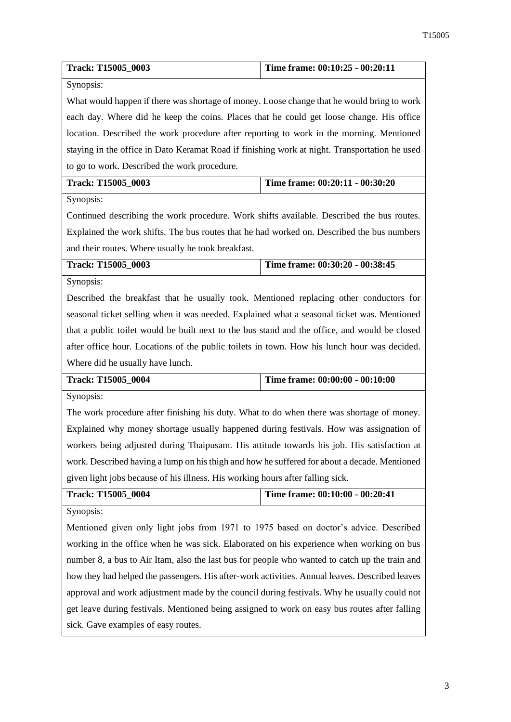| Track: T15005_0003                                                                             | Time frame: 00:10:25 - 00:20:11 |  |
|------------------------------------------------------------------------------------------------|---------------------------------|--|
| Synopsis:                                                                                      |                                 |  |
| What would happen if there was shortage of money. Loose change that he would bring to work     |                                 |  |
| each day. Where did he keep the coins. Places that he could get loose change. His office       |                                 |  |
| location. Described the work procedure after reporting to work in the morning. Mentioned       |                                 |  |
| staying in the office in Dato Keramat Road if finishing work at night. Transportation he used  |                                 |  |
| to go to work. Described the work procedure.                                                   |                                 |  |
| Track: T15005_0003                                                                             | Time frame: 00:20:11 - 00:30:20 |  |
| Synopsis:                                                                                      |                                 |  |
| Continued describing the work procedure. Work shifts available. Described the bus routes.      |                                 |  |
| Explained the work shifts. The bus routes that he had worked on. Described the bus numbers     |                                 |  |
| and their routes. Where usually he took breakfast.                                             |                                 |  |
| Track: T15005_0003                                                                             | Time frame: 00:30:20 - 00:38:45 |  |
| Synopsis:                                                                                      |                                 |  |
| Described the breakfast that he usually took. Mentioned replacing other conductors for         |                                 |  |
| seasonal ticket selling when it was needed. Explained what a seasonal ticket was. Mentioned    |                                 |  |
| that a public toilet would be built next to the bus stand and the office, and would be closed  |                                 |  |
| after office hour. Locations of the public toilets in town. How his lunch hour was decided.    |                                 |  |
| Where did he usually have lunch.                                                               |                                 |  |
| Track: T15005_0004                                                                             | Time frame: 00:00:00 - 00:10:00 |  |
| Synopsis:                                                                                      |                                 |  |
| The work procedure after finishing his duty. What to do when there was shortage of money.      |                                 |  |
| Explained why money shortage usually happened during festivals. How was assignation of         |                                 |  |
| workers being adjusted during Thaipusam. His attitude towards his job. His satisfaction at     |                                 |  |
| work. Described having a lump on his thigh and how he suffered for about a decade. Mentioned   |                                 |  |
| given light jobs because of his illness. His working hours after falling sick.                 |                                 |  |
| Track: T15005_0004                                                                             | Time frame: 00:10:00 - 00:20:41 |  |
| Synopsis:                                                                                      |                                 |  |
| Mentioned given only light jobs from 1971 to 1975 based on doctor's advice. Described          |                                 |  |
| working in the office when he was sick. Elaborated on his experience when working on bus       |                                 |  |
| number 8, a bus to Air Itam, also the last bus for people who wanted to catch up the train and |                                 |  |
| how they had helped the passengers. His after-work activities. Annual leaves. Described leaves |                                 |  |
| approval and work adjustment made by the council during festivals. Why he usually could not    |                                 |  |
| get leave during festivals. Mentioned being assigned to work on easy bus routes after falling  |                                 |  |
| sick. Gave examples of easy routes.                                                            |                                 |  |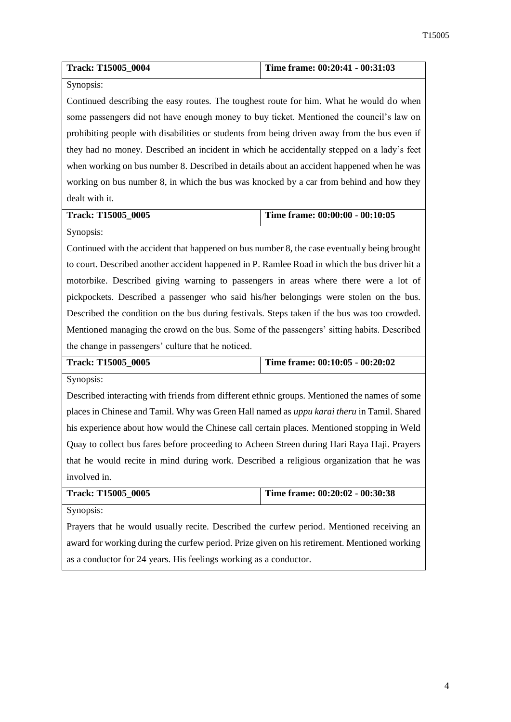| <b>Track: T15005 0004</b> | Time frame: $00:20:41 - 00:31:03$ |
|---------------------------|-----------------------------------|

# Synopsis:

Continued describing the easy routes. The toughest route for him. What he would do when some passengers did not have enough money to buy ticket. Mentioned the council's law on prohibiting people with disabilities or students from being driven away from the bus even if they had no money. Described an incident in which he accidentally stepped on a lady's feet when working on bus number 8. Described in details about an accident happened when he was working on bus number 8, in which the bus was knocked by a car from behind and how they dealt with it.

| Track: T15005 0005 |  |
|--------------------|--|

# **Time frame: 00:00:00 - 00:10:05**

#### Synopsis:

Continued with the accident that happened on bus number 8, the case eventually being brought to court. Described another accident happened in P. Ramlee Road in which the bus driver hit a motorbike. Described giving warning to passengers in areas where there were a lot of pickpockets. Described a passenger who said his/her belongings were stolen on the bus. Described the condition on the bus during festivals. Steps taken if the bus was too crowded. Mentioned managing the crowd on the bus. Some of the passengers' sitting habits. Described the change in passengers' culture that he noticed.

| <b>Track: T15005 0005</b> | Time frame: $00:10:05 - 00:20:02$ |
|---------------------------|-----------------------------------|
|                           |                                   |

Synopsis:

Described interacting with friends from different ethnic groups. Mentioned the names of some places in Chinese and Tamil. Why was Green Hall named as *uppu karai theru* in Tamil. Shared his experience about how would the Chinese call certain places. Mentioned stopping in Weld Quay to collect bus fares before proceeding to Acheen Streen during Hari Raya Haji. Prayers that he would recite in mind during work. Described a religious organization that he was involved in.

| <b>Track: T15005 0005</b> | Time frame: 00:20:02 - 00:30:38 |
|---------------------------|---------------------------------|
| Synopsis:                 |                                 |

Prayers that he would usually recite. Described the curfew period. Mentioned receiving an award for working during the curfew period. Prize given on his retirement. Mentioned working as a conductor for 24 years. His feelings working as a conductor.